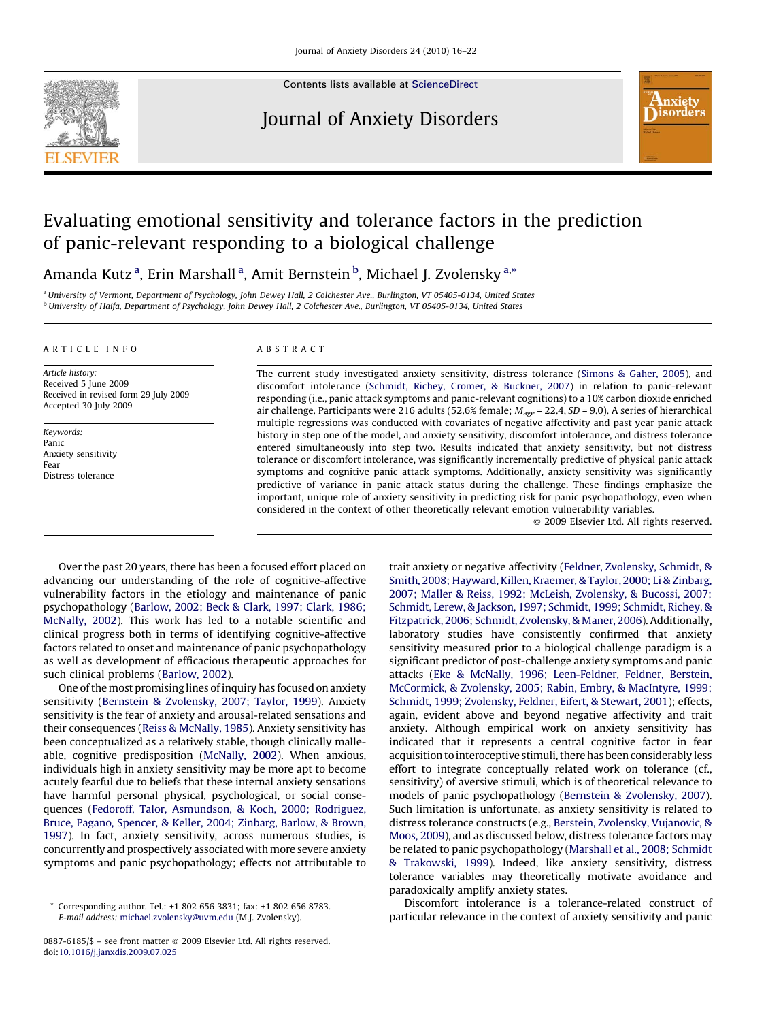

Contents lists available at [ScienceDirect](http://www.sciencedirect.com/science/journal/08876185)

## Journal of Anxiety Disorders



# Evaluating emotional sensitivity and tolerance factors in the prediction of panic-relevant responding to a biological challenge

Amanda Kutz<sup>a</sup>, Erin Marshall<sup>a</sup>, Amit Bernstein <sup>b</sup>, Michael J. Zvolensky <sup>a,</sup>\*

<sup>a</sup> University of Vermont, Department of Psychology, John Dewey Hall, 2 Colchester Ave., Burlington, VT 05405-0134, United States <sup>b</sup> University of Haifa, Department of Psychology, John Dewey Hall, 2 Colchester Ave., Burlington, VT 05405-0134, United States

#### ARTICLE INFO

Article history: Received 5 June 2009 Received in revised form 29 July 2009 Accepted 30 July 2009

Keywords: Panic Anxiety sensitivity Fear Distress tolerance

## ABSTRACT

The current study investigated anxiety sensitivity, distress tolerance [\(Simons & Gaher, 2005\)](#page--1-0), and discomfort intolerance [\(Schmidt, Richey, Cromer, & Buckner, 2007](#page--1-0)) in relation to panic-relevant responding (i.e., panic attack symptoms and panic-relevant cognitions) to a 10% carbon dioxide enriched air challenge. Participants were 216 adults (52.6% female;  $M_{\text{age}} = 22.4$ ,  $SD = 9.0$ ). A series of hierarchical multiple regressions was conducted with covariates of negative affectivity and past year panic attack history in step one of the model, and anxiety sensitivity, discomfort intolerance, and distress tolerance entered simultaneously into step two. Results indicated that anxiety sensitivity, but not distress tolerance or discomfort intolerance, was significantly incrementally predictive of physical panic attack symptoms and cognitive panic attack symptoms. Additionally, anxiety sensitivity was significantly predictive of variance in panic attack status during the challenge. These findings emphasize the important, unique role of anxiety sensitivity in predicting risk for panic psychopathology, even when considered in the context of other theoretically relevant emotion vulnerability variables.

- 2009 Elsevier Ltd. All rights reserved.

Over the past 20 years, there has been a focused effort placed on advancing our understanding of the role of cognitive-affective vulnerability factors in the etiology and maintenance of panic psychopathology [\(Barlow, 2002; Beck & Clark, 1997; Clark, 1986;](#page--1-0) [McNally, 2002\)](#page--1-0). This work has led to a notable scientific and clinical progress both in terms of identifying cognitive-affective factors related to onset and maintenance of panic psychopathology as well as development of efficacious therapeutic approaches for such clinical problems ([Barlow, 2002\)](#page--1-0).

One of the most promising lines of inquiry has focused on anxiety sensitivity ([Bernstein & Zvolensky, 2007; Taylor, 1999\)](#page--1-0). Anxiety sensitivity is the fear of anxiety and arousal-related sensations and their consequences ([Reiss & McNally, 1985](#page--1-0)). Anxiety sensitivity has been conceptualized as a relatively stable, though clinically malleable, cognitive predisposition [\(McNally, 2002\)](#page--1-0). When anxious, individuals high in anxiety sensitivity may be more apt to become acutely fearful due to beliefs that these internal anxiety sensations have harmful personal physical, psychological, or social consequences ([Fedoroff, Talor, Asmundson, & Koch, 2000; Rodriguez,](#page--1-0) [Bruce, Pagano, Spencer, & Keller, 2004; Zinbarg, Barlow, & Brown,](#page--1-0) [1997\)](#page--1-0). In fact, anxiety sensitivity, across numerous studies, is concurrently and prospectively associated with more severe anxiety symptoms and panic psychopathology; effects not attributable to trait anxiety or negative affectivity ([Feldner, Zvolensky, Schmidt, &](#page--1-0) [Smith, 2008; Hayward, Killen, Kraemer, & Taylor, 2000; Li & Zinbarg,](#page--1-0) [2007; Maller & Reiss, 1992; McLeish, Zvolensky, & Bucossi, 2007;](#page--1-0) [Schmidt, Lerew, & Jackson, 1997; Schmidt, 1999; Schmidt, Richey, &](#page--1-0) [Fitzpatrick, 2006; Schmidt, Zvolensky, & Maner, 2006](#page--1-0)). Additionally, laboratory studies have consistently confirmed that anxiety sensitivity measured prior to a biological challenge paradigm is a significant predictor of post-challenge anxiety symptoms and panic attacks [\(Eke & McNally, 1996; Leen-Feldner, Feldner, Berstein,](#page--1-0) [McCormick, & Zvolensky, 2005; Rabin, Embry, & MacIntyre, 1999;](#page--1-0) [Schmidt, 1999; Zvolensky, Feldner, Eifert, & Stewart, 2001](#page--1-0)); effects, again, evident above and beyond negative affectivity and trait anxiety. Although empirical work on anxiety sensitivity has indicated that it represents a central cognitive factor in fear acquisition to interoceptive stimuli, there has been considerably less effort to integrate conceptually related work on tolerance (cf., sensitivity) of aversive stimuli, which is of theoretical relevance to models of panic psychopathology ([Bernstein & Zvolensky, 2007\)](#page--1-0). Such limitation is unfortunate, as anxiety sensitivity is related to distress tolerance constructs (e.g., [Berstein, Zvolensky, Vujanovic, &](#page--1-0) [Moos, 2009\)](#page--1-0), and as discussed below, distress tolerance factors may be related to panic psychopathology ([Marshall et al., 2008; Schmidt](#page--1-0) [& Trakowski, 1999](#page--1-0)). Indeed, like anxiety sensitivity, distress tolerance variables may theoretically motivate avoidance and paradoxically amplify anxiety states.

Discomfort intolerance is a tolerance-related construct of particular relevance in the context of anxiety sensitivity and panic

Corresponding author. Tel.: +1 802 656 3831; fax: +1 802 656 8783. E-mail address: [michael.zvolensky@uvm.edu](mailto:michael.zvolensky@uvm.edu) (M.J. Zvolensky).

<sup>0887-6185/\$ –</sup> see front matter @ 2009 Elsevier Ltd. All rights reserved. doi:[10.1016/j.janxdis.2009.07.025](http://dx.doi.org/10.1016/j.janxdis.2009.07.025)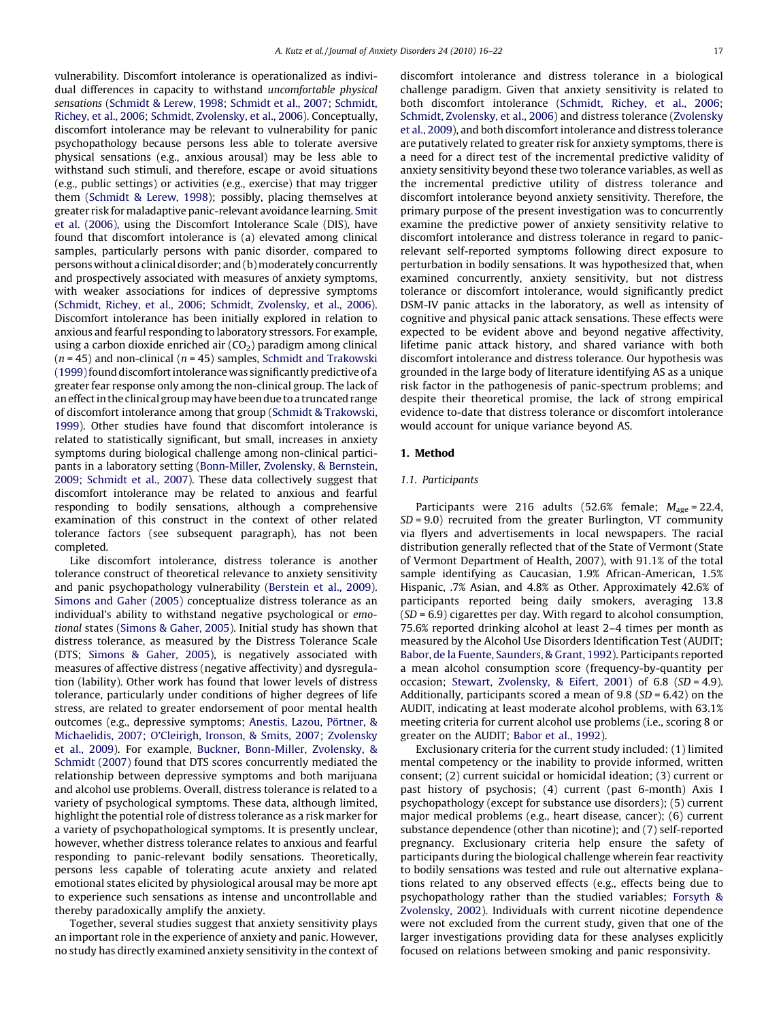vulnerability. Discomfort intolerance is operationalized as individual differences in capacity to withstand uncomfortable physical sensations [\(Schmidt & Lerew, 1998; Schmidt et al., 2007; Schmidt,](#page--1-0) [Richey, et al., 2006; Schmidt, Zvolensky, et al., 2006\)](#page--1-0). Conceptually, discomfort intolerance may be relevant to vulnerability for panic psychopathology because persons less able to tolerate aversive physical sensations (e.g., anxious arousal) may be less able to withstand such stimuli, and therefore, escape or avoid situations (e.g., public settings) or activities (e.g., exercise) that may trigger them [\(Schmidt & Lerew, 1998\)](#page--1-0); possibly, placing themselves at greater risk for maladaptive panic-relevant avoidance learning. [Smit](#page--1-0) [et al. \(2006\),](#page--1-0) using the Discomfort Intolerance Scale (DIS), have found that discomfort intolerance is (a) elevated among clinical samples, particularly persons with panic disorder, compared to persons without a clinical disorder; and (b)moderately concurrently and prospectively associated with measures of anxiety symptoms, with weaker associations for indices of depressive symptoms ([Schmidt, Richey, et al., 2006; Schmidt, Zvolensky, et al., 2006\)](#page--1-0). Discomfort intolerance has been initially explored in relation to anxious and fearful responding to laboratory stressors. For example, using a carbon dioxide enriched air  $(CO<sub>2</sub>)$  paradigm among clinical  $(n = 45)$  and non-clinical  $(n = 45)$  samples, [Schmidt and Trakowski](#page--1-0) [\(1999\)](#page--1-0)found discomfort intolerance was significantly predictive of a greater fear response only among the non-clinical group. The lack of an effect in the clinical groupmay have been due to a truncated range of discomfort intolerance among that group ([Schmidt & Trakowski,](#page--1-0) [1999\)](#page--1-0). Other studies have found that discomfort intolerance is related to statistically significant, but small, increases in anxiety symptoms during biological challenge among non-clinical participants in a laboratory setting ([Bonn-Miller, Zvolensky, & Bernstein,](#page--1-0) [2009; Schmidt et al., 2007](#page--1-0)). These data collectively suggest that discomfort intolerance may be related to anxious and fearful responding to bodily sensations, although a comprehensive examination of this construct in the context of other related tolerance factors (see subsequent paragraph), has not been completed.

Like discomfort intolerance, distress tolerance is another tolerance construct of theoretical relevance to anxiety sensitivity and panic psychopathology vulnerability [\(Berstein et al., 2009\)](#page--1-0). [Simons and Gaher \(2005\)](#page--1-0) conceptualize distress tolerance as an individual's ability to withstand negative psychological or emotional states ([Simons & Gaher, 2005\)](#page--1-0). Initial study has shown that distress tolerance, as measured by the Distress Tolerance Scale (DTS; [Simons & Gaher, 2005](#page--1-0)), is negatively associated with measures of affective distress (negative affectivity) and dysregulation (lability). Other work has found that lower levels of distress tolerance, particularly under conditions of higher degrees of life stress, are related to greater endorsement of poor mental health outcomes (e.g., depressive symptoms; Anestis, Lazou, Pörtner, & [Michaelidis, 2007; O'Cleirigh, Ironson, & Smits, 2007; Zvolensky](#page--1-0) [et al., 2009](#page--1-0)). For example, [Buckner, Bonn-Miller, Zvolensky, &](#page--1-0) [Schmidt \(2007\)](#page--1-0) found that DTS scores concurrently mediated the relationship between depressive symptoms and both marijuana and alcohol use problems. Overall, distress tolerance is related to a variety of psychological symptoms. These data, although limited, highlight the potential role of distress tolerance as a risk marker for a variety of psychopathological symptoms. It is presently unclear, however, whether distress tolerance relates to anxious and fearful responding to panic-relevant bodily sensations. Theoretically, persons less capable of tolerating acute anxiety and related emotional states elicited by physiological arousal may be more apt to experience such sensations as intense and uncontrollable and thereby paradoxically amplify the anxiety.

Together, several studies suggest that anxiety sensitivity plays an important role in the experience of anxiety and panic. However, no study has directly examined anxiety sensitivity in the context of discomfort intolerance and distress tolerance in a biological challenge paradigm. Given that anxiety sensitivity is related to both discomfort intolerance ([Schmidt, Richey, et al., 2006;](#page--1-0) [Schmidt, Zvolensky, et al., 2006\)](#page--1-0) and distress tolerance [\(Zvolensky](#page--1-0) [et al., 2009\)](#page--1-0), and both discomfort intolerance and distress tolerance are putatively related to greater risk for anxiety symptoms, there is a need for a direct test of the incremental predictive validity of anxiety sensitivity beyond these two tolerance variables, as well as the incremental predictive utility of distress tolerance and discomfort intolerance beyond anxiety sensitivity. Therefore, the primary purpose of the present investigation was to concurrently examine the predictive power of anxiety sensitivity relative to discomfort intolerance and distress tolerance in regard to panicrelevant self-reported symptoms following direct exposure to perturbation in bodily sensations. It was hypothesized that, when examined concurrently, anxiety sensitivity, but not distress tolerance or discomfort intolerance, would significantly predict DSM-IV panic attacks in the laboratory, as well as intensity of cognitive and physical panic attack sensations. These effects were expected to be evident above and beyond negative affectivity, lifetime panic attack history, and shared variance with both discomfort intolerance and distress tolerance. Our hypothesis was grounded in the large body of literature identifying AS as a unique risk factor in the pathogenesis of panic-spectrum problems; and despite their theoretical promise, the lack of strong empirical evidence to-date that distress tolerance or discomfort intolerance would account for unique variance beyond AS.

#### 1. Method

### 1.1. Participants

Participants were 216 adults (52.6% female;  $M_{\text{age}} = 22.4$ ,  $SD = 9.0$ ) recruited from the greater Burlington, VT community via flyers and advertisements in local newspapers. The racial distribution generally reflected that of the State of Vermont (State of Vermont Department of Health, 2007), with 91.1% of the total sample identifying as Caucasian, 1.9% African-American, 1.5% Hispanic, .7% Asian, and 4.8% as Other. Approximately 42.6% of participants reported being daily smokers, averaging 13.8 (SD = 6.9) cigarettes per day. With regard to alcohol consumption, 75.6% reported drinking alcohol at least 2–4 times per month as measured by the Alcohol Use Disorders Identification Test (AUDIT; [Babor, de la Fuente, Saunders, & Grant, 1992\)](#page--1-0). Participants reported a mean alcohol consumption score (frequency-by-quantity per occasion; [Stewart, Zvolensky, & Eifert, 2001\)](#page--1-0) of 6.8 (SD = 4.9). Additionally, participants scored a mean of  $9.8$  (SD = 6.42) on the AUDIT, indicating at least moderate alcohol problems, with 63.1% meeting criteria for current alcohol use problems (i.e., scoring 8 or greater on the AUDIT; [Babor et al., 1992](#page--1-0)).

Exclusionary criteria for the current study included: (1) limited mental competency or the inability to provide informed, written consent; (2) current suicidal or homicidal ideation; (3) current or past history of psychosis; (4) current (past 6-month) Axis I psychopathology (except for substance use disorders); (5) current major medical problems (e.g., heart disease, cancer); (6) current substance dependence (other than nicotine); and (7) self-reported pregnancy. Exclusionary criteria help ensure the safety of participants during the biological challenge wherein fear reactivity to bodily sensations was tested and rule out alternative explanations related to any observed effects (e.g., effects being due to psychopathology rather than the studied variables; [Forsyth &](#page--1-0) [Zvolensky, 2002\)](#page--1-0). Individuals with current nicotine dependence were not excluded from the current study, given that one of the larger investigations providing data for these analyses explicitly focused on relations between smoking and panic responsivity.